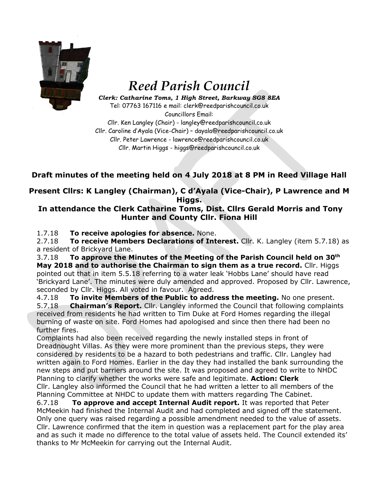

## *Reed Parish Council*

*Clerk: Catharine Toms, 1 High Street, Barkway SG8 8EA* Tel: 07763 167116 e mail: clerk@reedparishcouncil.co.uk

Councillors Email: Cllr. Ken Langley (Chair) - langley@reedparishcouncil.co.uk Cllr. Caroline d'Ayala (Vice-Chair) – [dayala@reedparishcouncil.co.uk](mailto:dayala@reedparishcouncil.co.uk) Cllr. Peter Lawrence - lawrence@reedparishcouncil.co.uk Cllr. Martin Higgs - higgs@reedparishcouncil.co.uk

## **Draft minutes of the meeting held on 4 July 2018 at 8 PM in Reed Village Hall**

**Present Cllrs: K Langley (Chairman), C d'Ayala (Vice-Chair), P Lawrence and M Higgs.**

## **In attendance the Clerk Catharine Toms, Dist. Cllrs Gerald Morris and Tony Hunter and County Cllr. Fiona Hill**

1.7.18 **To receive apologies for absence.** None.

2.7.18 **To receive Members Declarations of Interest.** Cllr. K. Langley (item 5.7.18) as a resident of Brickyard Lane.

3.7.18 **To approve the Minutes of the Meeting of the Parish Council held on 30 th May 2018 and to authorise the Chairman to sign them as a true record.** Cllr. Higgs pointed out that in item 5.5.18 referring to a water leak 'Hobbs Lane' should have read 'Brickyard Lane'. The minutes were duly amended and approved. Proposed by Cllr. Lawrence, seconded by Cllr. Higgs. All voted in favour. Agreed.

4.7.18 **To invite Members of the Public to address the meeting.** No one present. 5.7.18 **Chairman's Report.** Cllr. Langley informed the Council that following complaints received from residents he had written to Tim Duke at Ford Homes regarding the illegal burning of waste on site. Ford Homes had apologised and since then there had been no further fires.

Complaints had also been received regarding the newly installed steps in front of Dreadnought Villas. As they were more prominent than the previous steps, they were considered by residents to be a hazard to both pedestrians and traffic. Cllr. Langley had written again to Ford Homes. Earlier in the day they had installed the bank surrounding the new steps and put barriers around the site. It was proposed and agreed to write to NHDC Planning to clarify whether the works were safe and legitimate. **Action: Clerk** Cllr. Langley also informed the Council that he had written a letter to all members of the Planning Committee at NHDC to update them with matters regarding The Cabinet.

6.7.18 **To approve and accept Internal Audit report.** It was reported that Peter McMeekin had finished the Internal Audit and had completed and signed off the statement. Only one query was raised regarding a possible amendment needed to the value of assets. Cllr. Lawrence confirmed that the item in question was a replacement part for the play area and as such it made no difference to the total value of assets held. The Council extended its' thanks to Mr McMeekin for carrying out the Internal Audit.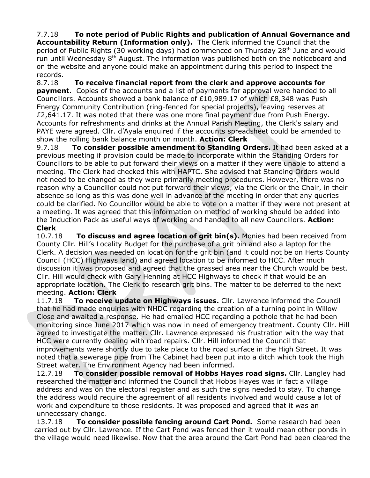7.7.18 **To note period of Public Rights and publication of Annual Governance and Accountability Return (Information only).** The Clerk informed the Council that the period of Public Rights (30 working days) had commenced on Thursday 28<sup>th</sup> June and would run until Wednesday 8<sup>th</sup> August. The information was published both on the noticeboard and on the website and anyone could make an appointment during this period to inspect the records.

8.7.18 **To receive financial report from the clerk and approve accounts for payment.** Copies of the accounts and a list of payments for approval were handed to all Councillors. Accounts showed a bank balance of £10,989.17 of which £8,348 was Push Energy Community Contribution (ring-fenced for special projects), leaving reserves at £2,641.17. It was noted that there was one more final payment due from Push Energy. Accounts for refreshments and drinks at the Annual Parish Meeting, the Clerk's salary and PAYE were agreed. Cllr. d'Ayala enquired if the accounts spreadsheet could be amended to show the rolling bank balance month on month. **Action: Clerk**

9.7.18 **To consider possible amendment to Standing Orders.** It had been asked at a previous meeting if provision could be made to incorporate within the Standing Orders for Councillors to be able to put forward their views on a matter if they were unable to attend a meeting. The Clerk had checked this with HAPTC. She advised that Standing Orders would not need to be changed as they were primarily meeting procedures. However, there was no reason why a Councillor could not put forward their views, via the Clerk or the Chair, in their absence so long as this was done well in advance of the meeting in order that any queries could be clarified. No Councillor would be able to vote on a matter if they were not present at a meeting. It was agreed that this information on method of working should be added into the Induction Pack as useful ways of working and handed to all new Councillors. **Action: Clerk**

10.7.18 **To discuss and agree location of grit bin(s).** Monies had been received from County Cllr. Hill's Locality Budget for the purchase of a grit bin and also a laptop for the Clerk. A decision was needed on location for the grit bin (and it could not be on Herts County Council (HCC) Highways land) and agreed location to be informed to HCC. After much discussion it was proposed and agreed that the grassed area near the Church would be best. Cllr. Hill would check with Gary Henning at HCC Highways to check if that would be an appropriate location. The Clerk to research grit bins. The matter to be deferred to the next meeting. **Action: Clerk**

11.7.18 **To receive update on Highways issues.** Cllr. Lawrence informed the Council that he had made enquiries with NHDC regarding the creation of a turning point in Willow Close and awaited a response. He had emailed HCC regarding a pothole that he had been monitoring since June 2017 which was now in need of emergency treatment. County Cllr. Hill agreed to investigate the matter. Cllr. Lawrence expressed his frustration with the way that HCC were currently dealing with road repairs. Cllr. Hill informed the Council that improvements were shortly due to take place to the road surface in the High Street. It was noted that a sewerage pipe from The Cabinet had been put into a ditch which took the High Street water. The Environment Agency had been informed.

12.7.18 **To consider possible removal of Hobbs Hayes road signs.** Cllr. Langley had researched the matter and informed the Council that Hobbs Hayes was in fact a village address and was on the electoral register and as such the signs needed to stay. To change the address would require the agreement of all residents involved and would cause a lot of work and expenditure to those residents. It was proposed and agreed that it was an unnecessary change.

13.7.18 **To consider possible fencing around Cart Pond.** Some research had been carried out by Cllr. Lawrence. If the Cart Pond was fenced then it would mean other ponds in the village would need likewise. Now that the area around the Cart Pond had been cleared the